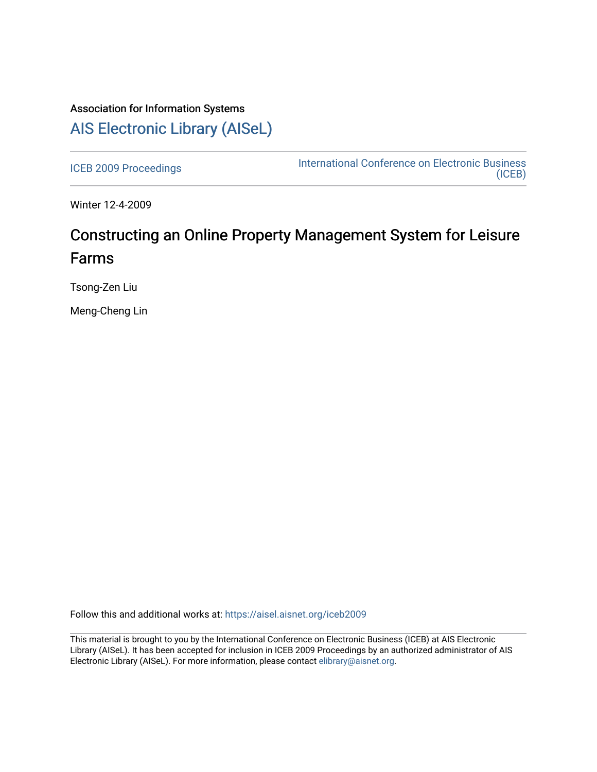## Association for Information Systems [AIS Electronic Library \(AISeL\)](https://aisel.aisnet.org/)

[ICEB 2009 Proceedings](https://aisel.aisnet.org/iceb2009) **International Conference on Electronic Business** [\(ICEB\)](https://aisel.aisnet.org/iceb) 

Winter 12-4-2009

# Constructing an Online Property Management System for Leisure Farms

Tsong-Zen Liu

Meng-Cheng Lin

Follow this and additional works at: [https://aisel.aisnet.org/iceb2009](https://aisel.aisnet.org/iceb2009?utm_source=aisel.aisnet.org%2Ficeb2009%2F123&utm_medium=PDF&utm_campaign=PDFCoverPages)

This material is brought to you by the International Conference on Electronic Business (ICEB) at AIS Electronic Library (AISeL). It has been accepted for inclusion in ICEB 2009 Proceedings by an authorized administrator of AIS Electronic Library (AISeL). For more information, please contact [elibrary@aisnet.org.](mailto:elibrary@aisnet.org%3E)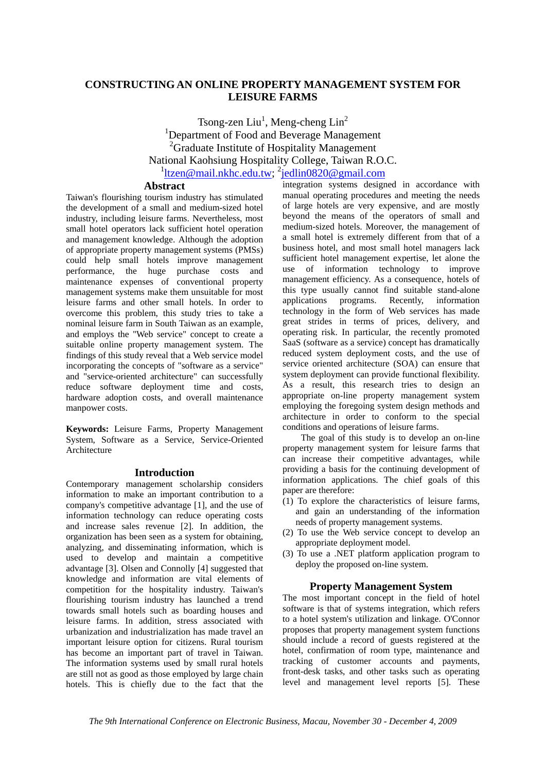## **CONSTRUCTING AN ONLINE PROPERTY MANAGEMENT SYSTEM FOR LEISURE FARMS**

Tsong-zen Liu<sup>1</sup>, Meng-cheng Lin<sup>2</sup> <sup>1</sup>Department of Food and Beverage Management <sup>2</sup>Graduate Institute of Hospitality Management National Kaohsiung Hospitality College, Taiwan R.O.C. <sup>1</sup>ltzen@mail.nkhc.edu.tw; <sup>2</sup>jedlin0820@gmail.com

#### **Abstract**

Taiwan's flourishing tourism industry has stimulated the development of a small and medium-sized hotel industry, including leisure farms. Nevertheless, most small hotel operators lack sufficient hotel operation and management knowledge. Although the adoption of appropriate property management systems (PMSs) could help small hotels improve management performance, the huge purchase costs and maintenance expenses of conventional property management systems make them unsuitable for most leisure farms and other small hotels. In order to overcome this problem, this study tries to take a nominal leisure farm in South Taiwan as an example, and employs the "Web service" concept to create a suitable online property management system. The findings of this study reveal that a Web service model incorporating the concepts of "software as a service" and "service-oriented architecture" can successfully reduce software deployment time and costs, hardware adoption costs, and overall maintenance manpower costs.

**Keywords:** Leisure Farms, Property Management System, Software as a Service, Service-Oriented Architecture

#### **Introduction**

Contemporary management scholarship considers information to make an important contribution to a company's competitive advantage [1], and the use of information technology can reduce operating costs and increase sales revenue [2]. In addition, the organization has been seen as a system for obtaining, analyzing, and disseminating information, which is used to develop and maintain a competitive advantage [3]. Olsen and Connolly [4] suggested that knowledge and information are vital elements of competition for the hospitality industry. Taiwan's flourishing tourism industry has launched a trend towards small hotels such as boarding houses and leisure farms. In addition, stress associated with urbanization and industrialization has made travel an important leisure option for citizens. Rural tourism has become an important part of travel in Taiwan. The information systems used by small rural hotels are still not as good as those employed by large chain hotels. This is chiefly due to the fact that the

integration systems designed in accordance with manual operating procedures and meeting the needs of large hotels are very expensive, and are mostly beyond the means of the operators of small and medium-sized hotels. Moreover, the management of a small hotel is extremely different from that of a business hotel, and most small hotel managers lack sufficient hotel management expertise, let alone the use of information technology to improve management efficiency. As a consequence, hotels of this type usually cannot find suitable stand-alone applications programs. Recently, information technology in the form of Web services has made great strides in terms of prices, delivery, and operating risk. In particular, the recently promoted SaaS (software as a service) concept has dramatically reduced system deployment costs, and the use of service oriented architecture (SOA) can ensure that system deployment can provide functional flexibility. As a result, this research tries to design an appropriate on-line property management system employing the foregoing system design methods and architecture in order to conform to the special conditions and operations of leisure farms.

The goal of this study is to develop an on-line property management system for leisure farms that can increase their competitive advantages, while providing a basis for the continuing development of information applications. The chief goals of this paper are therefore:

- (1) To explore the characteristics of leisure farms, and gain an understanding of the information needs of property management systems.
- (2) To use the Web service concept to develop an appropriate deployment model.
- (3) To use a .NET platform application program to deploy the proposed on-line system.

### **Property Management System**

The most important concept in the field of hotel software is that of systems integration, which refers to a hotel system's utilization and linkage. O'Connor proposes that property management system functions should include a record of guests registered at the hotel, confirmation of room type, maintenance and tracking of customer accounts and payments, front-desk tasks, and other tasks such as operating level and management level reports [5]. These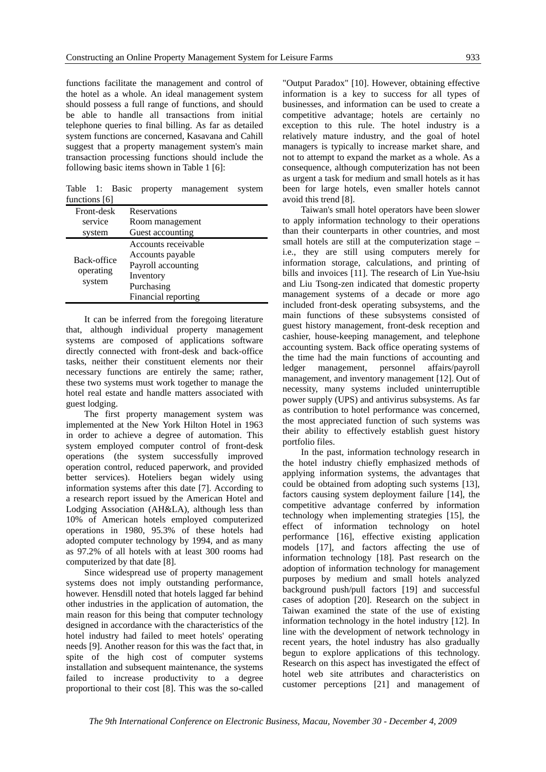functions facilitate the management and control of the hotel as a whole. An ideal management system should possess a full range of functions, and should be able to handle all transactions from initial telephone queries to final billing. As far as detailed system functions are concerned, Kasavana and Cahill suggest that a property management system's main transaction processing functions should include the following basic items shown in Table 1 [6]:

Table 1: Basic property management system functions [6]

| Front-desk  | Reservations        |  |  |
|-------------|---------------------|--|--|
| service     | Room management     |  |  |
| system      | Guest accounting    |  |  |
|             | Accounts receivable |  |  |
| Back-office | Accounts payable    |  |  |
| operating   | Payroll accounting  |  |  |
| system      | Inventory           |  |  |
|             | Purchasing          |  |  |
|             | Financial reporting |  |  |

It can be inferred from the foregoing literature that, although individual property management systems are composed of applications software directly connected with front-desk and back-office tasks, neither their constituent elements nor their necessary functions are entirely the same; rather, these two systems must work together to manage the hotel real estate and handle matters associated with guest lodging.

The first property management system was implemented at the New York Hilton Hotel in 1963 in order to achieve a degree of automation. This system employed computer control of front-desk operations (the system successfully improved operation control, reduced paperwork, and provided better services). Hoteliers began widely using information systems after this date [7]. According to a research report issued by the American Hotel and Lodging Association (AH&LA), although less than 10% of American hotels employed computerized operations in 1980, 95.3% of these hotels had adopted computer technology by 1994, and as many as 97.2% of all hotels with at least 300 rooms had computerized by that date [8].

Since widespread use of property management systems does not imply outstanding performance, however. Hensdill noted that hotels lagged far behind other industries in the application of automation, the main reason for this being that computer technology designed in accordance with the characteristics of the hotel industry had failed to meet hotels' operating needs [9]. Another reason for this was the fact that, in spite of the high cost of computer systems installation and subsequent maintenance, the systems failed to increase productivity to a degree proportional to their cost [8]. This was the so-called

"Output Paradox" [10]. However, obtaining effective information is a key to success for all types of businesses, and information can be used to create a competitive advantage; hotels are certainly no exception to this rule. The hotel industry is a relatively mature industry, and the goal of hotel managers is typically to increase market share, and not to attempt to expand the market as a whole. As a consequence, although computerization has not been as urgent a task for medium and small hotels as it has been for large hotels, even smaller hotels cannot avoid this trend [8].

Taiwan's small hotel operators have been slower to apply information technology to their operations than their counterparts in other countries, and most small hotels are still at the computerization stage – i.e., they are still using computers merely for information storage, calculations, and printing of bills and invoices [11]. The research of Lin Yue-hsiu and Liu Tsong-zen indicated that domestic property management systems of a decade or more ago included front-desk operating subsystems, and the main functions of these subsystems consisted of guest history management, front-desk reception and cashier, house-keeping management, and telephone accounting system. Back office operating systems of the time had the main functions of accounting and ledger management, personnel affairs/payroll management, and inventory management [12]. Out of necessity, many systems included uninterruptible power supply (UPS) and antivirus subsystems. As far as contribution to hotel performance was concerned, the most appreciated function of such systems was their ability to effectively establish guest history portfolio files.

In the past, information technology research in the hotel industry chiefly emphasized methods of applying information systems, the advantages that could be obtained from adopting such systems [13], factors causing system deployment failure [14], the competitive advantage conferred by information technology when implementing strategies [15], the effect of information technology on hotel performance [16], effective existing application models [17], and factors affecting the use of information technology [18]. Past research on the adoption of information technology for management purposes by medium and small hotels analyzed background push/pull factors [19] and successful cases of adoption [20]. Research on the subject in Taiwan examined the state of the use of existing information technology in the hotel industry [12]. In line with the development of network technology in recent years, the hotel industry has also gradually begun to explore applications of this technology. Research on this aspect has investigated the effect of hotel web site attributes and characteristics on customer perceptions [21] and management of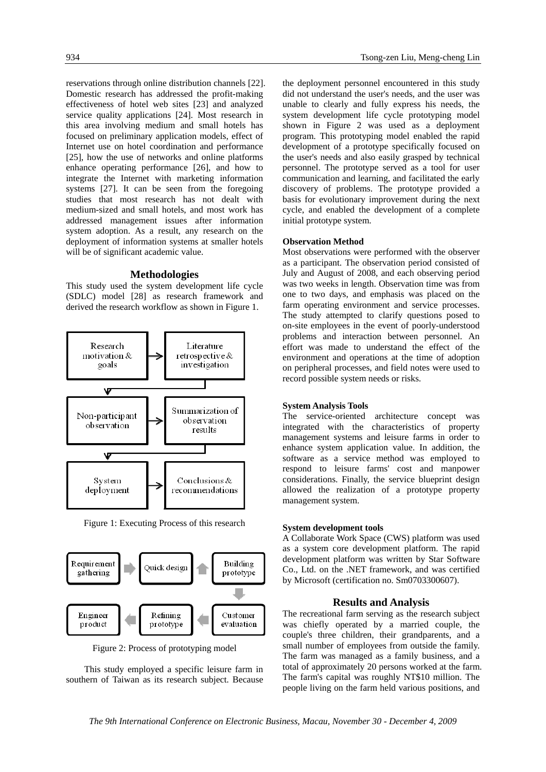reservations through online distribution channels [22]. Domestic research has addressed the profit-making effectiveness of hotel web sites [23] and analyzed service quality applications [24]. Most research in this area involving medium and small hotels has focused on preliminary application models, effect of Internet use on hotel coordination and performance [25], how the use of networks and online platforms enhance operating performance [26], and how to integrate the Internet with marketing information systems [27]. It can be seen from the foregoing studies that most research has not dealt with medium-sized and small hotels, and most work has addressed management issues after information system adoption. As a result, any research on the deployment of information systems at smaller hotels will be of significant academic value.

#### **Methodologies**

This study used the system development life cycle (SDLC) model [28] as research framework and derived the research workflow as shown in Figure 1.



Figure 1: Executing Process of this research



Figure 2: Process of prototyping model

This study employed a specific leisure farm in southern of Taiwan as its research subject. Because the deployment personnel encountered in this study did not understand the user's needs, and the user was unable to clearly and fully express his needs, the system development life cycle prototyping model shown in Figure 2 was used as a deployment program. This prototyping model enabled the rapid development of a prototype specifically focused on the user's needs and also easily grasped by technical personnel. The prototype served as a tool for user communication and learning, and facilitated the early discovery of problems. The prototype provided a basis for evolutionary improvement during the next cycle, and enabled the development of a complete initial prototype system.

#### **Observation Method**

Most observations were performed with the observer as a participant. The observation period consisted of July and August of 2008, and each observing period was two weeks in length. Observation time was from one to two days, and emphasis was placed on the farm operating environment and service processes. The study attempted to clarify questions posed to on-site employees in the event of poorly-understood problems and interaction between personnel. An effort was made to understand the effect of the environment and operations at the time of adoption on peripheral processes, and field notes were used to record possible system needs or risks.

#### **System Analysis Tools**

The service-oriented architecture concept was integrated with the characteristics of property management systems and leisure farms in order to enhance system application value. In addition, the software as a service method was employed to respond to leisure farms' cost and manpower considerations. Finally, the service blueprint design allowed the realization of a prototype property management system.

#### **System development tools**

A Collaborate Work Space (CWS) platform was used as a system core development platform. The rapid development platform was written by Star Software Co., Ltd. on the .NET framework, and was certified by Microsoft (certification no. Sm0703300607).

#### **Results and Analysis**

The recreational farm serving as the research subject was chiefly operated by a married couple, the couple's three children, their grandparents, and a small number of employees from outside the family. The farm was managed as a family business, and a total of approximately 20 persons worked at the farm. The farm's capital was roughly NT\$10 million. The people living on the farm held various positions, and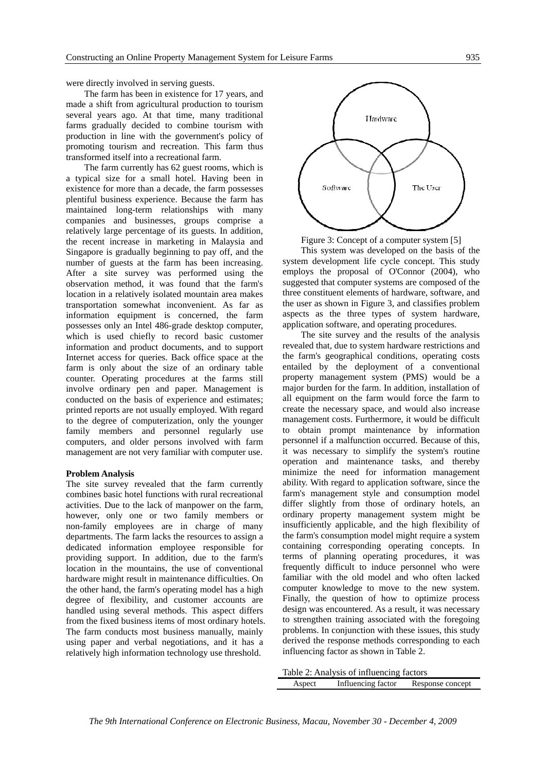were directly involved in serving guests.

The farm has been in existence for 17 years, and made a shift from agricultural production to tourism several years ago. At that time, many traditional farms gradually decided to combine tourism with production in line with the government's policy of promoting tourism and recreation. This farm thus transformed itself into a recreational farm.

The farm currently has 62 guest rooms, which is a typical size for a small hotel. Having been in existence for more than a decade, the farm possesses plentiful business experience. Because the farm has maintained long-term relationships with many companies and businesses, groups comprise a relatively large percentage of its guests. In addition, the recent increase in marketing in Malaysia and Singapore is gradually beginning to pay off, and the number of guests at the farm has been increasing. After a site survey was performed using the observation method, it was found that the farm's location in a relatively isolated mountain area makes transportation somewhat inconvenient. As far as information equipment is concerned, the farm possesses only an Intel 486-grade desktop computer, which is used chiefly to record basic customer information and product documents, and to support Internet access for queries. Back office space at the farm is only about the size of an ordinary table counter. Operating procedures at the farms still involve ordinary pen and paper. Management is conducted on the basis of experience and estimates; printed reports are not usually employed. With regard to the degree of computerization, only the younger family members and personnel regularly use computers, and older persons involved with farm management are not very familiar with computer use.

#### **Problem Analysis**

The site survey revealed that the farm currently combines basic hotel functions with rural recreational activities. Due to the lack of manpower on the farm, however, only one or two family members or non-family employees are in charge of many departments. The farm lacks the resources to assign a dedicated information employee responsible for providing support. In addition, due to the farm's location in the mountains, the use of conventional hardware might result in maintenance difficulties. On the other hand, the farm's operating model has a high degree of flexibility, and customer accounts are handled using several methods. This aspect differs from the fixed business items of most ordinary hotels. The farm conducts most business manually, mainly using paper and verbal negotiations, and it has a relatively high information technology use threshold.



Figure 3: Concept of a computer system [5]

This system was developed on the basis of the system development life cycle concept. This study employs the proposal of O'Connor (2004), who suggested that computer systems are composed of the three constituent elements of hardware, software, and the user as shown in Figure 3, and classifies problem aspects as the three types of system hardware, application software, and operating procedures.

The site survey and the results of the analysis revealed that, due to system hardware restrictions and the farm's geographical conditions, operating costs entailed by the deployment of a conventional property management system (PMS) would be a major burden for the farm. In addition, installation of all equipment on the farm would force the farm to create the necessary space, and would also increase management costs. Furthermore, it would be difficult to obtain prompt maintenance by information personnel if a malfunction occurred. Because of this, it was necessary to simplify the system's routine operation and maintenance tasks, and thereby minimize the need for information management ability. With regard to application software, since the farm's management style and consumption model differ slightly from those of ordinary hotels, an ordinary property management system might be insufficiently applicable, and the high flexibility of the farm's consumption model might require a system containing corresponding operating concepts. In terms of planning operating procedures, it was frequently difficult to induce personnel who were familiar with the old model and who often lacked computer knowledge to move to the new system. Finally, the question of how to optimize process design was encountered. As a result, it was necessary to strengthen training associated with the foregoing problems. In conjunction with these issues, this study derived the response methods corresponding to each influencing factor as shown in Table 2.

| Table 2: Analysis of influencing factors |                    |                  |  |  |  |  |  |  |
|------------------------------------------|--------------------|------------------|--|--|--|--|--|--|
| Aspect                                   | Influencing factor | Response concept |  |  |  |  |  |  |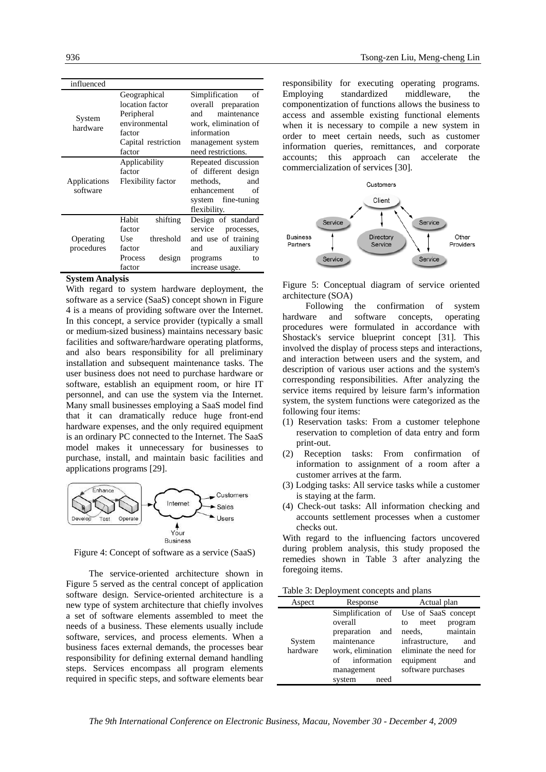| influenced               |                                                                                                           |                                                                                                                                                     |  |  |  |  |
|--------------------------|-----------------------------------------------------------------------------------------------------------|-----------------------------------------------------------------------------------------------------------------------------------------------------|--|--|--|--|
| System<br>hardware       | Geographical<br>location factor<br>Peripheral<br>environmental<br>factor<br>Capital restriction<br>factor | Simplification<br>of<br>overall preparation<br>maintenance<br>and<br>work, elimination of<br>information<br>management system<br>need restrictions. |  |  |  |  |
| Applications<br>software | Applicability<br>factor<br>Flexibility factor                                                             | Repeated discussion<br>of different design<br>methods.<br>and<br>enhancement<br>of<br>system fine-tuning<br>flexibility.                            |  |  |  |  |
| Operating<br>procedures  | Habit<br>shifting<br>factor<br>threshold<br>Use<br>factor<br>design<br>Process<br>factor                  | Design of standard<br>service<br>processes,<br>and use of training<br>auxiliary<br>and<br>programs<br>to<br>increase usage.                         |  |  |  |  |

#### **System Analysis**

With regard to system hardware deployment, the software as a service (SaaS) concept shown in Figure 4 is a means of providing software over the Internet. In this concept, a service provider (typically a small or medium-sized business) maintains necessary basic facilities and software/hardware operating platforms, and also bears responsibility for all preliminary installation and subsequent maintenance tasks. The user business does not need to purchase hardware or software, establish an equipment room, or hire IT personnel, and can use the system via the Internet. Many small businesses employing a SaaS model find that it can dramatically reduce huge front-end hardware expenses, and the only required equipment is an ordinary PC connected to the Internet. The SaaS model makes it unnecessary for businesses to purchase, install, and maintain basic facilities and applications programs [29].



Figure 4: Concept of software as a service (SaaS)

The service-oriented architecture shown in Figure 5 served as the central concept of application software design. Service-oriented architecture is a new type of system architecture that chiefly involves a set of software elements assembled to meet the needs of a business. These elements usually include software, services, and process elements. When a business faces external demands, the processes bear responsibility for defining external demand handling steps. Services encompass all program elements required in specific steps, and software elements bear responsibility for executing operating programs. Employing standardized middleware, the componentization of functions allows the business to access and assemble existing functional elements when it is necessary to compile a new system in order to meet certain needs, such as customer information queries, remittances, and corporate accounts; this approach can accelerate the commercialization of services [30].



Figure 5: Conceptual diagram of service oriented architecture (SOA)

Following the confirmation of system hardware and software concepts, operating procedures were formulated in accordance with Shostack's service blueprint concept [31]. This involved the display of process steps and interactions, and interaction between users and the system, and description of various user actions and the system's corresponding responsibilities. After analyzing the service items required by leisure farm's information system, the system functions were categorized as the following four items:

- (1) Reservation tasks: From a customer telephone reservation to completion of data entry and form print-out.
- (2) Reception tasks: From confirmation of information to assignment of a room after a customer arrives at the farm.
- (3) Lodging tasks: All service tasks while a customer is staying at the farm.
- (4) Check-out tasks: All information checking and accounts settlement processes when a customer checks out.

With regard to the influencing factors uncovered during problem analysis, this study proposed the remedies shown in Table 3 after analyzing the foregoing items.

Table 3: Deployment concepts and plans

| Aspect   | Response          | Actual plan                           |  |  |  |  |  |
|----------|-------------------|---------------------------------------|--|--|--|--|--|
|          |                   | Simplification of Use of SaaS concept |  |  |  |  |  |
|          | overall           | program<br>meet<br>to                 |  |  |  |  |  |
|          | preparation and   | needs, maintain                       |  |  |  |  |  |
| System   | maintenance       | infrastructure,<br>and                |  |  |  |  |  |
| hardware | work, elimination | eliminate the need for                |  |  |  |  |  |
|          | of information    | equipment<br>and                      |  |  |  |  |  |
|          | management        | software purchases                    |  |  |  |  |  |
|          | system<br>need    |                                       |  |  |  |  |  |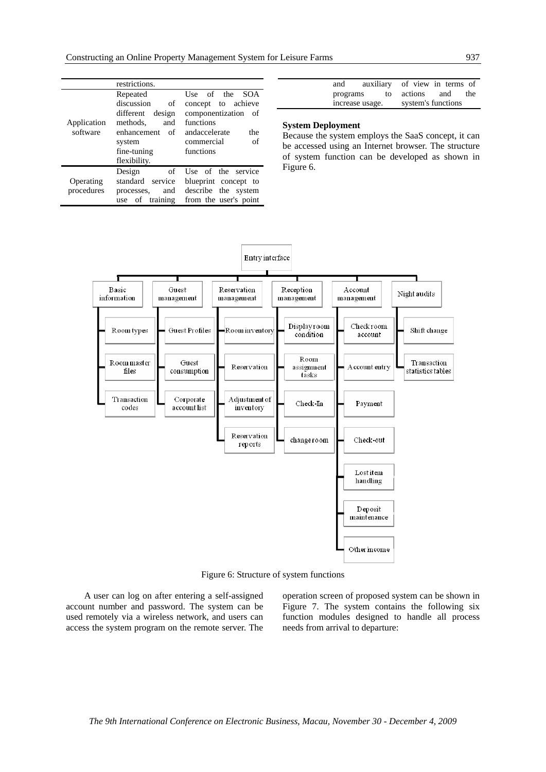|             | restrictions.         |                       |  |  |  |  |
|-------------|-----------------------|-----------------------|--|--|--|--|
|             | Repeated              | Use of the SOA        |  |  |  |  |
|             | discussion<br>of      | concept to achieve    |  |  |  |  |
|             | design<br>different   | componentization of   |  |  |  |  |
| Application | methods.<br>and       | functions             |  |  |  |  |
| software    | enhancement<br>of     | andaccelerate<br>the  |  |  |  |  |
|             | system                | of<br>commercial      |  |  |  |  |
|             | fine-tuning           | functions             |  |  |  |  |
|             | flexibility.          |                       |  |  |  |  |
|             | Design<br>of          | Use of the service    |  |  |  |  |
| Operating   | standard<br>service   | blueprint concept to  |  |  |  |  |
| procedures  | and<br>processes,     | describe the system   |  |  |  |  |
|             | training<br>of<br>use | from the user's point |  |  |  |  |

| and             | auxiliary of view in terms of |                    |     |
|-----------------|-------------------------------|--------------------|-----|
| programs        | to                            | actions and        | the |
| increase usage. |                               | system's functions |     |

#### **System Deployment**

Because the system employs the SaaS concept, it can be accessed using an Internet browser. The structure of system function can be developed as shown in Figure 6.



Figure 6: Structure of system functions

A user can log on after entering a self-assigned account number and password. The system can be used remotely via a wireless network, and users can access the system program on the remote server. The operation screen of proposed system can be shown in Figure 7. The system contains the following six function modules designed to handle all process needs from arrival to departure: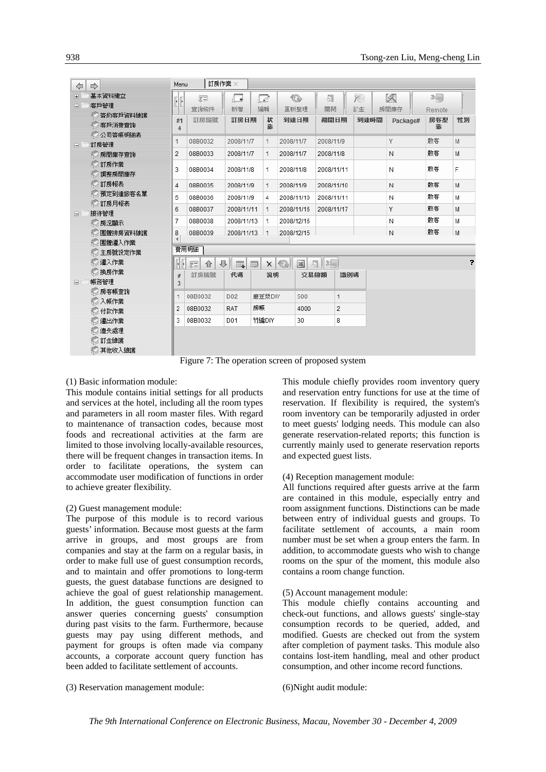| ⇦              | ⇨                      | Menu   | 訂房作業 ※                                            |                          |    |              |              |              |                   |     |           |          |        |                |
|----------------|------------------------|--------|---------------------------------------------------|--------------------------|----|--------------|--------------|--------------|-------------------|-----|-----------|----------|--------|----------------|
| $\overline{+}$ | 基本資料建立                 | 同      | 居                                                 | 4+                       |    | $\Box$       |              | ♦            | 颌                 |     | <b>YB</b> | 环        | 20     |                |
| Θ.             | 客戶管理                   |        | 查詢條件                                              | 新增                       |    | 編輯           |              | 重新整理         | 關閉                |     | 訂金        | 房間庫存     | Remote |                |
|                | ◎ 簽約客戶資料維護             | #1     | 訂房編號                                              | 訂房日期                     |    | 狀            |              | 到達日期         | 離開日期              |     | 到達時間      | Package# | 房客型    | 性別             |
|                | 客戶消費查詢                 | 4      |                                                   |                          |    | 張            |              |              |                   |     |           |          | 態      |                |
|                | ◎ 公司簽帳明細表              | 1      | 08B0032                                           | 2008/11/7                |    | 1            | 2008/11/7    |              | 2008/11/9         |     |           | Υ        | 散客     | M              |
| Θ.             | 訂房管理<br>◎房間庫存查詢        | 2      | 08B0033                                           | 2008/11/7                |    | 1            | 2008/11/7    |              | 2008/11/8         |     |           | N        | 散客     | M              |
|                | ◎ 訂房作業                 |        |                                                   |                          |    |              |              |              |                   |     |           |          |        |                |
|                | 調整房間庫存                 | 3      | 08B0034                                           | 2008/11/8                |    | 1            | 2008/11/8    |              | 2008/11/11        |     |           | Ν        | 散客     | F              |
|                | ▒ 訂房報表                 | 4      | 08B0035                                           | 2008/11/9                |    | 1            | 2008/11/9    |              | 2008/11/10        |     |           | И        | 散客     | M              |
|                | 預定到達旅客名單               | 5      | 08B0036                                           | 2008/11/9                |    | 4            | 2008/11/10   |              | 2008/11/11        |     |           | Ν        | 散客     | M              |
|                | ◎ 訂房月報表                | 6      | 08B0037                                           | 2008/11/11               |    | 1            | 2008/11/16   |              | 2008/11/17        |     |           | Y        | 散客     | M              |
| 8              | 接待管理                   | 7      | 08B0038                                           | 2008/11/13               |    | 1            | 2008/12/16   |              |                   |     |           | Ν        | 散客     | M              |
|                | ◎ 房況顯示                 |        |                                                   |                          |    |              |              |              |                   |     |           |          | 散客     |                |
|                | ◎ 囲體排房資料維護<br>◎ 團體遷入作業 | 8      | 08B0039                                           | 2008/11/13               |    | $\mathbf{1}$ | 2008/12/15   |              |                   |     |           | И        |        | M              |
|                | ◎ 主房號設定作業              |        | 費用明細                                              |                          |    |              |              |              |                   |     |           |          |        |                |
|                | ▒ 遷入作業                 |        | ⊕<br>$\sqrt{2}$<br>⇧                              | H,                       | 亚  | $\times$     | $\mathbb{Q}$ | $\mathbb{R}$ | $\mathbb{R}$<br>쒭 |     |           |          |        | $\overline{z}$ |
|                | ◎ 換房作業                 |        | 訂房編號                                              | 代碼                       |    | 說明           |              | 交易總額         |                   | 識別碼 |           |          |        |                |
| $\Box$         | 帳務管理                   | #<br>3 |                                                   |                          |    |              |              |              |                   |     |           |          |        |                |
|                | ◎ 房客帳查詢                | 1.     | 08B0032                                           | D <sub>02</sub>          |    | 磨豆漿DIY       |              | 500          |                   | 1   |           |          |        |                |
|                | ▒ 入帳作業                 | 2      | 08B0032                                           | <b>RAT</b>               | 房帳 |              |              | 4000         |                   | 2   |           |          |        |                |
|                | ◎ 付款作業                 |        |                                                   |                          |    |              |              |              |                   |     |           |          |        |                |
|                | ◎ 瀍出作業                 | 3      | 08B0032                                           | 竹編DIY<br>D <sub>01</sub> |    |              |              | 8<br>30      |                   |     |           |          |        |                |
|                | ▒ 遺失處理                 |        |                                                   |                          |    |              |              |              |                   |     |           |          |        |                |
|                | ◎ 訂金維護<br>◎ 其他收入維護     |        |                                                   |                          |    |              |              |              |                   |     |           |          |        |                |
|                |                        |        | Figure 7: The operation screen of proposed system |                          |    |              |              |              |                   |     |           |          |        |                |

Figure 7: The operation screen of proposed system

#### (1) Basic information module:

This module contains initial settings for all products and services at the hotel, including all the room types and parameters in all room master files. With regard to maintenance of transaction codes, because most foods and recreational activities at the farm are limited to those involving locally-available resources, there will be frequent changes in transaction items. In order to facilitate operations, the system can accommodate user modification of functions in order to achieve greater flexibility.

#### (2) Guest management module:

The purpose of this module is to record various guests' information. Because most guests at the farm arrive in groups, and most groups are from companies and stay at the farm on a regular basis, in order to make full use of guest consumption records, and to maintain and offer promotions to long-term guests, the guest database functions are designed to achieve the goal of guest relationship management. In addition, the guest consumption function can answer queries concerning guests' consumption during past visits to the farm. Furthermore, because guests may pay using different methods, and payment for groups is often made via company accounts, a corporate account query function has been added to facilitate settlement of accounts.

(3) Reservation management module:

This module chiefly provides room inventory query and reservation entry functions for use at the time of reservation. If flexibility is required, the system's room inventory can be temporarily adjusted in order to meet guests' lodging needs. This module can also generate reservation-related reports; this function is currently mainly used to generate reservation reports and expected guest lists.

#### (4) Reception management module:

All functions required after guests arrive at the farm are contained in this module, especially entry and room assignment functions. Distinctions can be made between entry of individual guests and groups. To facilitate settlement of accounts, a main room number must be set when a group enters the farm. In addition, to accommodate guests who wish to change rooms on the spur of the moment, this module also contains a room change function.

#### (5) Account management module:

This module chiefly contains accounting and check-out functions, and allows guests' single-stay consumption records to be queried, added, and modified. Guests are checked out from the system after completion of payment tasks. This module also contains lost-item handling, meal and other product consumption, and other income record functions.

(6)Night audit module: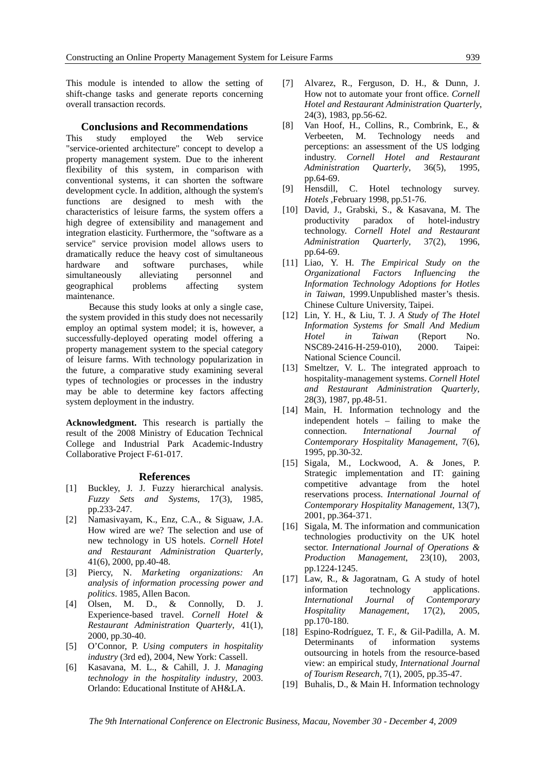This module is intended to allow the setting of shift-change tasks and generate reports concerning overall transaction records.

#### **Conclusions and Recommendations**

This study employed the Web service "service-oriented architecture" concept to develop a property management system. Due to the inherent flexibility of this system, in comparison with conventional systems, it can shorten the software development cycle. In addition, although the system's functions are designed to mesh with the characteristics of leisure farms, the system offers a high degree of extensibility and management and integration elasticity. Furthermore, the "software as a service" service provision model allows users to dramatically reduce the heavy cost of simultaneous hardware and software purchases, while simultaneously alleviating personnel and geographical problems affecting system maintenance.

Because this study looks at only a single case, the system provided in this study does not necessarily employ an optimal system model; it is, however, a successfully-deployed operating model offering a property management system to the special category of leisure farms. With technology popularization in the future, a comparative study examining several types of technologies or processes in the industry may be able to determine key factors affecting system deployment in the industry.

**Acknowledgment.** This research is partially the result of the 2008 Ministry of Education Technical College and Industrial Park Academic-Industry Collaborative Project F-61-017.

#### **References**

- [1] Buckley, J. J. Fuzzy hierarchical analysis. *Fuzzy Sets and Systems,* 17(3), 1985, pp.233-247.
- [2] Namasivayam, K., Enz, C.A., & Siguaw, J.A. How wired are we? The selection and use of new technology in US hotels. *Cornell Hotel and Restaurant Administration Quarterly*, 41(6), 2000, pp.40-48.
- [3] Piercy, N. *Marketing organizations: An analysis of information processing power and politics*. 1985, Allen Bacon.
- [4] Olsen, M. D., & Connolly, D. J. Experience-based travel. *Cornell Hotel & Restaurant Administration Quarterly*, 41(1), 2000, pp.30-40.
- [5] O'Connor, P. *Using computers in hospitality industry* (3rd ed), 2004, New York: Cassell.
- [6] Kasavana, M. L., & Cahill, J. J. *Managing technology in the hospitality industry*, 2003. Orlando: Educational Institute of AH&LA.
- [7] Alvarez, R., Ferguson, D. H., & Dunn, J. How not to automate your front office. *Cornell Hotel and Restaurant Administration Quarterly*, 24(3), 1983, pp.56-62.
- [8] Van Hoof, H., Collins, R., Combrink, E., & Verbeeten, M. Technology needs and perceptions: an assessment of the US lodging industry. *Cornell Hotel and Restaurant Administration Quarterly*, 36(5), 1995, pp.64-69.
- [9] Hensdill, C. Hotel technology survey. *Hotels* ,February 1998, pp.51-76.
- [10] David, J., Grabski, S., & Kasavana, M. The productivity paradox of hotel-industry technology. *Cornell Hotel and Restaurant Administration Quarterly,* 37(2), 1996, pp.64-69.
- [11] Liao, Y. H. *The Empirical Study on the Organizational Factors Influencing the Information Technology Adoptions for Hotles in Taiwan*, 1999.Unpublished master's thesis. Chinese Culture University, Taipei.
- [12] Lin, Y. H., & Liu, T. J. *A Study of The Hotel Information Systems for Small And Medium Hotel in Taiwan* (Report No. NSC89-2416-H-259-010), 2000. Taipei: National Science Council.
- [13] Smeltzer, V. L. The integrated approach to hospitality-management systems. *Cornell Hotel and Restaurant Administration Quarterly*, 28(3), 1987, pp.48-51.
- [14] Main, H. Information technology and the independent hotels – failing to make the connection. *International Journal of Contemporary Hospitality Management*, 7(6), 1995, pp.30-32.
- [15] Sigala, M., Lockwood, A. & Jones, P. Strategic implementation and IT: gaining competitive advantage from the hotel reservations process. *International Journal of Contemporary Hospitality Management*, 13(7), 2001, pp.364-371.
- [16] Sigala, M. The information and communication technologies productivity on the UK hotel sector. *International Journal of Operations & Production Management*, 23(10), 2003, pp.1224-1245.
- [17] Law, R., & Jagoratnam, G. A study of hotel information technology applications. *International Journal of Contemporary Hospitality Management*, 17(2), 2005, pp.170-180.
- [18] Espino-Rodríguez, T. F., & Gil-Padilla, A. M. Determinants of information systems outsourcing in hotels from the resource-based view: an empirical study, *International Journal of Tourism Research*, 7(1), 2005, pp.35-47.
- [19] Buhalis, D., & Main H. Information technology